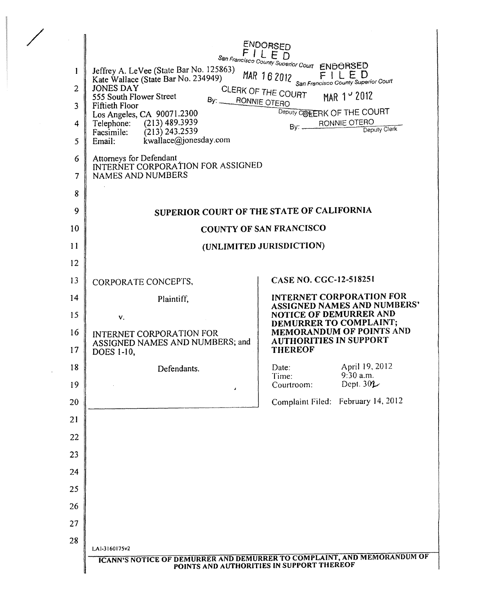| 1<br>$\overline{2}$<br>3<br>4<br>5<br>6<br>7<br>8 | Jeffrey A. LeVee (State Bar No. 125863)<br>Kate Wallace (State Bar No. 234949)<br><b>JONES DAY</b><br>555 South Flower Street<br>By: RONNIE OTERO<br><b>Fiftieth Floor</b><br>Los Angeles, CA 90071.2300<br>$(213)$ 489.3939<br>Telephone:<br>$(213)$ 243.2539<br>Facsimile:<br>kwallace@jonesday.com<br>Email:<br>Attorneys for Defendant<br>INTERNET CORPORATION FOR ASSIGNED<br><b>NAMES AND NUMBERS</b> | ENDORSED<br>ED<br>San Francisco County Superior Court ENDORSED<br>MAR 162012<br>FILED<br>San Francisco County Superior Court<br>CLERK OF THE COURT<br>MAR 1 v 2012<br>Deputy COKERK OF THE COURT<br>RONNIE OTERO<br>Bv:<br>Deputy Clerk |
|---------------------------------------------------|-------------------------------------------------------------------------------------------------------------------------------------------------------------------------------------------------------------------------------------------------------------------------------------------------------------------------------------------------------------------------------------------------------------|-----------------------------------------------------------------------------------------------------------------------------------------------------------------------------------------------------------------------------------------|
| 9                                                 |                                                                                                                                                                                                                                                                                                                                                                                                             | SUPERIOR COURT OF THE STATE OF CALIFORNIA                                                                                                                                                                                               |
| 10                                                |                                                                                                                                                                                                                                                                                                                                                                                                             | <b>COUNTY OF SAN FRANCISCO</b>                                                                                                                                                                                                          |
| 11                                                | (UNLIMITED JURISDICTION)                                                                                                                                                                                                                                                                                                                                                                                    |                                                                                                                                                                                                                                         |
| 12                                                |                                                                                                                                                                                                                                                                                                                                                                                                             | CASE NO. CGC-12-518251                                                                                                                                                                                                                  |
| 13                                                | CORPORATE CONCEPTS,                                                                                                                                                                                                                                                                                                                                                                                         | <b>INTERNET CORPORATION FOR</b>                                                                                                                                                                                                         |
| 14<br>15                                          | Plaintiff,<br><b>ASSIGNED NAMES AND NUMBERS'</b><br>NOTICE OF DEMURRER AND                                                                                                                                                                                                                                                                                                                                  |                                                                                                                                                                                                                                         |
| 16<br>17                                          | v.<br>INTERNET CORPORATION FOR<br>ASSIGNED NAMES AND NUMBERS; and<br>DOES 1-10,                                                                                                                                                                                                                                                                                                                             | DEMURRER TO COMPLAINT;<br>MEMORANDUM OF POINTS AND<br><b>AUTHORITIES IN SUPPORT</b><br><b>THEREOF</b>                                                                                                                                   |
| 18<br>19                                          | Defendants.                                                                                                                                                                                                                                                                                                                                                                                                 | April 19, 2012<br>Date:<br>9:30 a.m.<br>Time:<br>Dept. $30L$<br>Courtroom:                                                                                                                                                              |
| 20                                                |                                                                                                                                                                                                                                                                                                                                                                                                             | Complaint Filed: February 14, 2012                                                                                                                                                                                                      |
| 21                                                |                                                                                                                                                                                                                                                                                                                                                                                                             |                                                                                                                                                                                                                                         |
| 22                                                |                                                                                                                                                                                                                                                                                                                                                                                                             |                                                                                                                                                                                                                                         |
| 23                                                |                                                                                                                                                                                                                                                                                                                                                                                                             |                                                                                                                                                                                                                                         |
| 24                                                |                                                                                                                                                                                                                                                                                                                                                                                                             |                                                                                                                                                                                                                                         |
| 25                                                |                                                                                                                                                                                                                                                                                                                                                                                                             |                                                                                                                                                                                                                                         |
| 26                                                |                                                                                                                                                                                                                                                                                                                                                                                                             |                                                                                                                                                                                                                                         |
| 27                                                |                                                                                                                                                                                                                                                                                                                                                                                                             |                                                                                                                                                                                                                                         |
| 28                                                | LAI-3160175v2                                                                                                                                                                                                                                                                                                                                                                                               | <b>ICANN'S NOTICE OF DEMURRER AND DEMURRER TO COMPLAINT, AND MEMORANDUM OF</b><br>POINTS AND AUTHORITIES IN SUPPORT THEREOF                                                                                                             |

/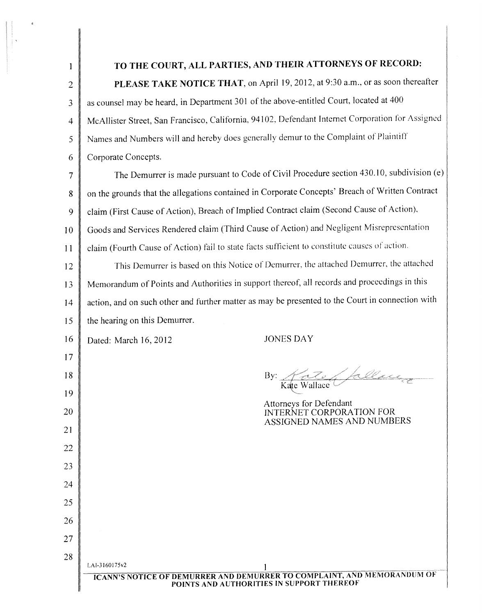| 1              | TO THE COURT, ALL PARTIES, AND THEIR ATTORNEYS OF RECORD:                                                                   |  |  |
|----------------|-----------------------------------------------------------------------------------------------------------------------------|--|--|
| $\overline{2}$ | PLEASE TAKE NOTICE THAT, on April 19, 2012, at 9:30 a.m., or as soon thereafter                                             |  |  |
| $\mathfrak{Z}$ | as counsel may be heard, in Department 301 of the above-entitled Court, located at 400                                      |  |  |
| $\overline{4}$ | McAllister Street, San Francisco, California, 94102, Defendant Internet Corporation for Assigned                            |  |  |
| 5              | Names and Numbers will and hereby does generally demur to the Complaint of Plaintiff                                        |  |  |
| 6              | Corporate Concepts.                                                                                                         |  |  |
| $\overline{7}$ | The Demurrer is made pursuant to Code of Civil Procedure section 430.10, subdivision (e)                                    |  |  |
| $\bf 8$        | on the grounds that the allegations contained in Corporate Concepts' Breach of Written Contract                             |  |  |
| 9              | claim (First Cause of Action), Breach of Implied Contract claim (Second Cause of Action),                                   |  |  |
| 10             | Goods and Services Rendered claim (Third Cause of Action) and Negligent Misrepresentation                                   |  |  |
| 11             | claim (Fourth Cause of Action) fail to state facts sufficient to constitute causes of action.                               |  |  |
| 12             | This Demurrer is based on this Notice of Demurrer, the attached Demurrer, the attached                                      |  |  |
| 13             | Memorandum of Points and Authorities in support thereof, all records and proceedings in this                                |  |  |
| 14             | action, and on such other and further matter as may be presented to the Court in connection with                            |  |  |
| 15             | the hearing on this Demurrer.                                                                                               |  |  |
| 16             | <b>JONES DAY</b><br>Dated: March 16, 2012                                                                                   |  |  |
| 17             |                                                                                                                             |  |  |
| 18             | 11 - 1 ballace<br>By:<br>Kate Wallace                                                                                       |  |  |
| 19             | Attorneys for Defendant                                                                                                     |  |  |
| 20             | <b>INTERNET CORPORATION FOR</b><br>ASSIGNED NAMES AND NUMBERS                                                               |  |  |
| 21             |                                                                                                                             |  |  |
| 22             |                                                                                                                             |  |  |
| 23             |                                                                                                                             |  |  |
| 24             |                                                                                                                             |  |  |
| 25             |                                                                                                                             |  |  |
| 26             |                                                                                                                             |  |  |
| 27             |                                                                                                                             |  |  |
| 28             | LAI-3160175v2                                                                                                               |  |  |
|                | <b>ICANN'S NOTICE OF DEMURRER AND DEMURRER TO COMPLAINT, AND MEMORANDUM OF</b><br>POINTS AND AUTHORITIES IN SUPPORT THEREOF |  |  |

 $\label{eq:2.1} \begin{split} \frac{1}{\sqrt{2\pi}}\frac{1}{\sqrt{2\pi}}\frac{1}{\sqrt{2\pi}}\frac{1}{\sqrt{2\pi}}\frac{1}{\sqrt{2\pi}}\frac{1}{\sqrt{2\pi}}\frac{1}{\sqrt{2\pi}}\frac{1}{\sqrt{2\pi}}\frac{1}{\sqrt{2\pi}}\frac{1}{\sqrt{2\pi}}\frac{1}{\sqrt{2\pi}}\frac{1}{\sqrt{2\pi}}\frac{1}{\sqrt{2\pi}}\frac{1}{\sqrt{2\pi}}\frac{1}{\sqrt{2\pi}}\frac{1}{\sqrt{2\pi}}\frac{1}{\sqrt{2\pi}}\frac$ 

 $\langle \rangle$ 

∥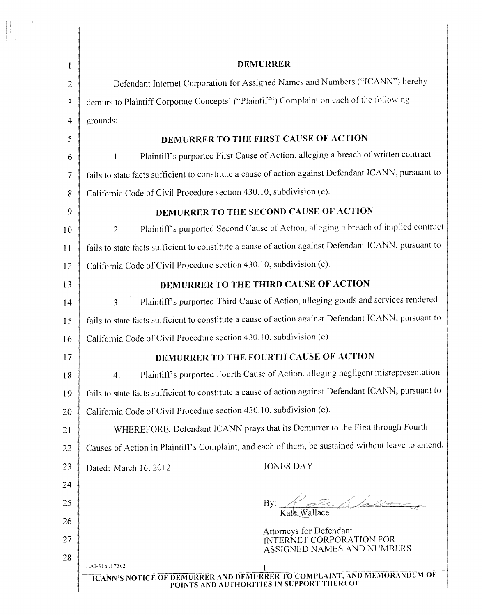| <b>DEMURRER</b>                                                                                                                              |  |
|----------------------------------------------------------------------------------------------------------------------------------------------|--|
| Defendant Internet Corporation for Assigned Names and Numbers ("ICANN") hereby                                                               |  |
| demurs to Plaintiff Corporate Concepts' ("Plaintiff") Complaint on each of the following                                                     |  |
| grounds:                                                                                                                                     |  |
| DEMURRER TO THE FIRST CAUSE OF ACTION                                                                                                        |  |
| Plaintiff's purported First Cause of Action, alleging a breach of written contract<br>1.                                                     |  |
| fails to state facts sufficient to constitute a cause of action against Defendant ICANN, pursuant to                                         |  |
| California Code of Civil Procedure section 430.10, subdivision (e).                                                                          |  |
| DEMURRER TO THE SECOND CAUSE OF ACTION                                                                                                       |  |
| Plaintiff's purported Second Cause of Action, alleging a breach of implied contract<br>2.                                                    |  |
| fails to state facts sufficient to constitute a cause of action against Defendant ICANN, pursuant to                                         |  |
| California Code of Civil Procedure section 430.10, subdivision (e).                                                                          |  |
| DEMURRER TO THE THIRD CAUSE OF ACTION                                                                                                        |  |
| Plaintiff's purported Third Cause of Action, alleging goods and services rendered<br>3.                                                      |  |
| fails to state facts sufficient to constitute a cause of action against Defendant ICANN, pursuant to                                         |  |
| California Code of Civil Procedure section 430.10, subdivision (e).                                                                          |  |
| DEMURRER TO THE FOURTH CAUSE OF ACTION                                                                                                       |  |
| Plaintiff's purported Fourth Cause of Action, alleging negligent misrepresentation<br>4.                                                     |  |
| fails to state facts sufficient to constitute a cause of action against Defendant ICANN, pursuant to                                         |  |
| California Code of Civil Procedure section 430.10, subdivision (e).                                                                          |  |
| WHEREFORE, Defendant ICANN prays that its Demurrer to the First through Fourth                                                               |  |
| Causes of Action in Plaintiff's Complaint, and each of them, be sustained without leave to amend.                                            |  |
| <b>JONES DAY</b><br>Dated: March 16, 2012                                                                                                    |  |
|                                                                                                                                              |  |
| By: Kate Wallace                                                                                                                             |  |
|                                                                                                                                              |  |
| Attorneys for Defendant<br>INTERNET CORPORATION FOR<br><b>ASSIGNED NAMES AND NUMBERS</b>                                                     |  |
| LAI-3160175v2<br><b>ICANN'S NOTICE OF DEMURRER AND DEMURRER TO COMPLAINT, AND MEMORANDUM OF</b><br>POINTS AND AUTHORITIES IN SUPPORT THEREOF |  |
|                                                                                                                                              |  |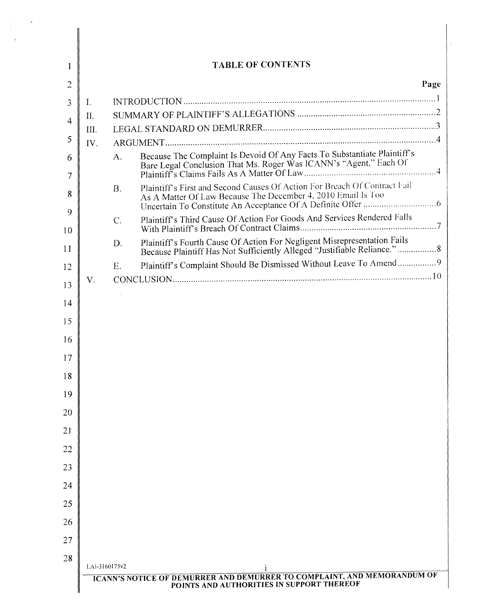| 1              | <b>TABLE OF CONTENTS</b>                  |                  |                                                                                                                                                       |      |
|----------------|-------------------------------------------|------------------|-------------------------------------------------------------------------------------------------------------------------------------------------------|------|
| $\overline{c}$ |                                           |                  |                                                                                                                                                       | Page |
| 3              | $\mathbf{I}$ .                            |                  |                                                                                                                                                       |      |
| $\overline{4}$ | II.                                       |                  |                                                                                                                                                       |      |
|                | III.                                      |                  |                                                                                                                                                       |      |
| 5              | IV.                                       |                  |                                                                                                                                                       |      |
| 6<br>7         |                                           | A.               | Because The Complaint Is Devoid Of Any Facts To Substantiate Plaintiff's<br>Bare Legal Conclusion That Ms. Roger Was ICANN's "Agent," Each Of         |      |
| 8              |                                           | B.               | Plaintiff's First and Second Causes Of Action For Breach Of Contract Fail<br>As A Matter Of Law Because The December 4, 2010 Email Is Too             |      |
| 9<br>10        |                                           | $\overline{C}$ . | Plaintiff's Third Cause Of Action For Goods And Services Rendered Falls                                                                               |      |
| 11             |                                           | D.               | Plaintiff's Fourth Cause Of Action For Negligent Misrepresentation Fails<br>Because Plaintiff Has Not Sufficiently Alleged "Justifiable Reliance."  8 |      |
| 12             |                                           | E.               | Plaintiff's Complaint Should Be Dismissed Without Leave To Amend9                                                                                     |      |
| 13             | V.                                        |                  |                                                                                                                                                       |      |
|                |                                           |                  |                                                                                                                                                       |      |
| 14             |                                           |                  |                                                                                                                                                       |      |
| 15             |                                           |                  |                                                                                                                                                       |      |
| 16             |                                           |                  |                                                                                                                                                       |      |
| 17             |                                           |                  |                                                                                                                                                       |      |
| 18             |                                           |                  |                                                                                                                                                       |      |
| 19             |                                           |                  |                                                                                                                                                       |      |
|                |                                           |                  |                                                                                                                                                       |      |
| 20             |                                           |                  |                                                                                                                                                       |      |
| 21             |                                           |                  |                                                                                                                                                       |      |
| 22             |                                           |                  |                                                                                                                                                       |      |
| 23             |                                           |                  |                                                                                                                                                       |      |
| 24             |                                           |                  |                                                                                                                                                       |      |
|                |                                           |                  |                                                                                                                                                       |      |
| 25             |                                           |                  |                                                                                                                                                       |      |
| 26             |                                           |                  |                                                                                                                                                       |      |
| 27             |                                           |                  |                                                                                                                                                       |      |
| 28             |                                           |                  |                                                                                                                                                       |      |
|                | LAI-3160175v2                             |                  | ICANN'S NOTICE OF DEMURRER AND DEMURRER TO COMPLAINT, AND MEMORANDUM OF                                                                               |      |
|                | POINTS AND AUTHORITIES IN SUPPORT THEREOF |                  |                                                                                                                                                       |      |

 $\vec{q}$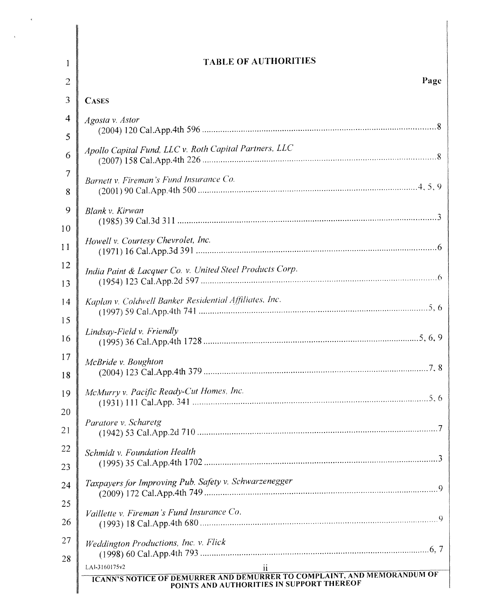| 1              | <b>TABLE OF AUTHORITIES</b>                                                                                                                                   |
|----------------|---------------------------------------------------------------------------------------------------------------------------------------------------------------|
| $\overline{2}$ | Page                                                                                                                                                          |
| 3              | <b>CASES</b>                                                                                                                                                  |
| 4              | Agosta v. Astor                                                                                                                                               |
| 5              |                                                                                                                                                               |
| 6              | Apollo Capital Fund, LLC v. Roth Capital Partners, LLC                                                                                                        |
| 7<br>8         | Barnett v. Fireman's Fund Insurance Co.                                                                                                                       |
| 9<br>10        | Blank v. Kirwan                                                                                                                                               |
| 11             | Howell v. Courtesy Chevrolet, Inc.                                                                                                                            |
| 12<br>13       | India Paint & Lacquer Co. v. United Steel Products Corp.                                                                                                      |
| 14<br>15       | Kaplan v. Coldwell Banker Residential Affiliates, Inc.                                                                                                        |
| 16             | Lindsay-Field v. Friendly                                                                                                                                     |
| 17<br>18       | McBride v. Boughton                                                                                                                                           |
| 19<br>20       | McMurry v. Pacific Ready-Cut Homes, Inc.                                                                                                                      |
| 21             | Paratore v. Scharetg                                                                                                                                          |
| 22<br>23       | Schmidt v. Foundation Health                                                                                                                                  |
| 24             | Taxpayers for Improving Pub. Safety v. Schwarzenegger                                                                                                         |
| 25<br>26       | Vaillette v. Fireman's Fund Insurance Co.                                                                                                                     |
| 27<br>28       | Weddington Productions, Inc. v. Flick                                                                                                                         |
|                | LAI-3160175v2<br>$\mathbf{11}$<br><b>ICANN'S NOTICE OF DEMURRER AND DEMURRER TO COMPLAINT, AND MEMORANDUM OF</b><br>POINTS AND AUTHORITIES IN SUPPORT THEREOF |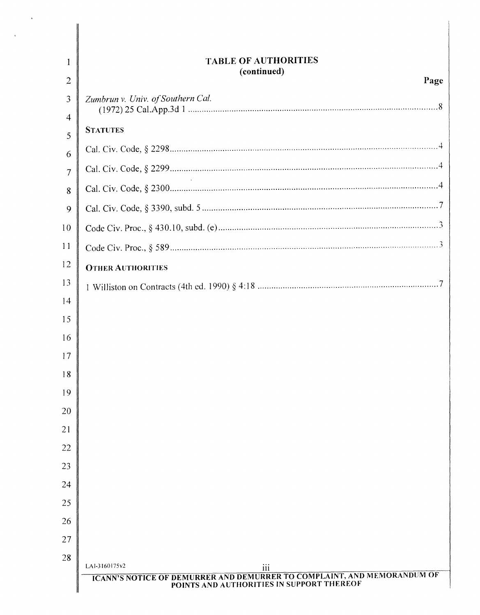| 1                   | <b>TABLE OF AUTHORITIES</b>                                                                                                                  |
|---------------------|----------------------------------------------------------------------------------------------------------------------------------------------|
| $\overline{2}$      | (continued)<br>Page                                                                                                                          |
| 3                   | Zumbrun v. Univ. of Southern Cal.                                                                                                            |
| $\overline{4}$<br>5 | <b>STATUTES</b>                                                                                                                              |
| 6                   |                                                                                                                                              |
| $\overline{7}$      |                                                                                                                                              |
| 8                   |                                                                                                                                              |
| 9                   |                                                                                                                                              |
| 10                  |                                                                                                                                              |
| 11                  |                                                                                                                                              |
| 12                  | <b>OTHER AUTHORITIES</b>                                                                                                                     |
| 13                  |                                                                                                                                              |
| 14                  |                                                                                                                                              |
| 15                  |                                                                                                                                              |
| 16                  |                                                                                                                                              |
| 17                  |                                                                                                                                              |
| 18                  |                                                                                                                                              |
| 19                  |                                                                                                                                              |
| 20                  |                                                                                                                                              |
| 21                  |                                                                                                                                              |
| 22                  |                                                                                                                                              |
| 23                  |                                                                                                                                              |
| 24                  |                                                                                                                                              |
| 25                  |                                                                                                                                              |
| 26                  |                                                                                                                                              |
| 27                  |                                                                                                                                              |
| 28                  | LAI-3160175v2<br>iii<br>ICANN'S NOTICE OF DEMURRER AND DEMURRER TO COMPLAINT, AND MEMORANDUM OF<br>POINTS AND AUTHORITIES IN SUPPORT THEREOF |

 $\bar{\tilde{z}}$ 

 $\ddot{\phantom{a}}$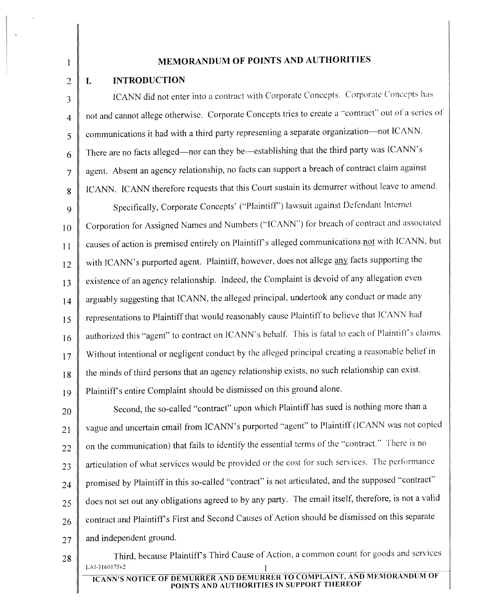## MEMORANDUM OF POINTS AND AUTHORITIES

#### INTRODUCTION I. 2

1

3

4

5

6

7

8

communications it had with a third party representing a separate organization-not ICANN. ICANN. ICANN therefore requests that this Court sustain its demurrer without leave to amend. Specifically, Corporate Concepts' ("Plaintiff') lawsuit against Defendant Internet There are no facts alleged-nor can they be---establishing that the third party was ICANN's ICANN did not enter into a contract with Corporate Concepts. Corporate Concepts has agent. Absent an agency relationship, no facts can support a breach of contract claim against not and cannot allege otherwise. Corporate Concepts tries to create a "contract" out of a series of

9 10 11 Corporation for Assigned Names and Numbers ("ICANN") for breach of contract and associated causes of action is premised entirely on Plaintiff's alleged communications not with ICANN, but 12 13 with ICANN's purported agent. Plaintiff, however, does not allege any facts supporting the existence of an agency relationship. Indeed, the Complaint is devoid of any allegation even 14 arguably suggesting that ICANN, the alleged principal, undertook any conduct or made any 15 representations to Plaintiff that would reasonably cause Plaintiff to believe that ICANN had 16 authorized this "agent" to contract on ICANN's behalf. This is fatal to each of Plaintiff's claims. 17 18 Without intentional or negligent conduct by the alleged principal creating a reasonable belief in the minds ofthird persons that an agency relationship exists, no such relationship can exist. 19 Plaintiffs entire Complaint should be dismissed on this ground alone.

20 21 22 23 24 25 26 Second, the so-called "contract" upon which Plaintiff has sued is nothing more than a vague and uncertain email from ICANN's purported "agent" to Plaintiff (lCANN was not copied on the communication) that fails to identify the essential terms of the ·'contract." There is no articulation of what services would be provided or the cost for such services. The performance promised by Plaintiff in this so-called "contract" is not articulated, and the supposed "contract" does not set out any obligations agreed to by any party. The email itself, therefore, is not a valid contract and Plaintiff's First and Second Causes of Action should be dismissed on this separate  $27$  and independent ground.

28 Third, because Plaintiff's Third Cause of Action, a common count for goods and services LAI-3160175v2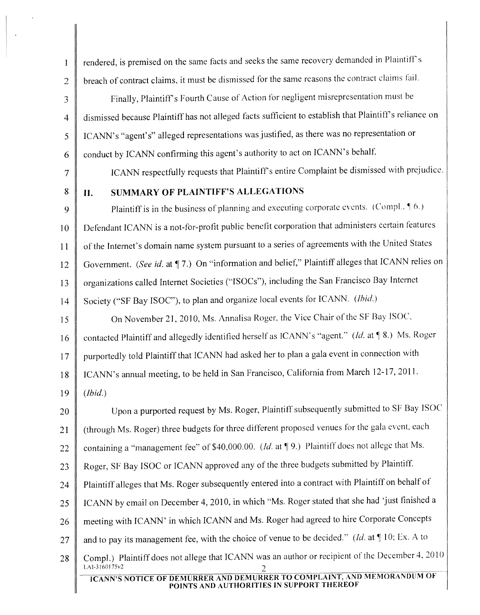1 | rendered, is premised on the same facts and seeks the same recovery demanded in Plaintiff's 2 breach of contract claims, it must be dismissed for the same reasons the contract claims fail. 3 Finally, Plaintiff's Fourth Cause of Action for negligent misrepresentation must be 4 dismissed because Plaintiff has not alleged facts sufficient to establish that Plaintiff's reliance on 5 | ICANN's "agent's" alleged representations was justified, as there was no representation or  $6 \parallel$  conduct by ICANN confirming this agent's authority to act on ICANN's behalf. 7 ICANN respectfully requests that Plaintiff's entire Complaint be dismissed with prejudice. 8 | II. SUMMARY OF PLAINTIFF'S ALLEGATIONS 9 Plaintiff is in the business of planning and executing corporate events. (Compl.,  $\parallel 6$ .) 10 Defendant ICANN is a not-for-profit public benefit corporation that administers certain features 11 of the Internet's domain name system pursuant to a series of agreements with the United States 12 Government. *(See id.* at 17.) On "information and belief," Plaintiff alleges that ICANN relies on 13 organizations called Internet Societies ("ISOCs"), including the San Francisco Bay Internet 14 Society ("SF Bay ISOC"), to plan and organize local events for ICANN. *(Ibid.)* 15 On November 21, 2010, Ms. Annalisa Roger, the Vice Chair of the SF Bay ISOC, 16 contacted Plaintiff and allegedly identified herself as ICANN's "agent." *(Id.* at 18.) Ms. Roger 17 | purportedly told Plaintiff that ICANN had asked her to plan a gala event in connection with 18 | ICANN's annual meeting, to be held in San Francisco, California from March 12-17, 2011. 19 *(Ibid.)* 20 Upon a purported request by Ms. Roger, Plaintiff subsequently submitted to SF Bay ISOC 21 (through Ms. Roger) three budgets for three different proposed venues for the gala event, each 22 containing a "management fee" of \$40,000.00. *(Id.* at [9.) Plaintiff does not allege that Ms. 23 Roger, SF Bay ISOC or ICANN approved any of the three budgets submitted by Plaintiff. 24 Plaintiff alleges that Ms. Roger subsequently entered into a contract with Plaintiff on behalf of 25 | ICANN by email on December 4, 2010, in which "Ms. Roger stated that she had 'just finished a 26 meeting with ICANN' in which ICANN and Ms. Roger had agreed to hire Corporate Concepts 27  $\parallel$  and to pay its management fee, with the choice of venue to be decided." *(Id.* at  $\parallel$  10; Ex. A to 28 Compl.) Plaintiff does not allege that ICANN was an author or recipient of the December 4, 2010 LAI-3160175v2

ICANN'S NOTICE OF DEMURRER AND DEMURRER TO COMPLAINT, AND MEMORANDUM OF POINTS AND AUTHORITIES IN SUPPORT THEREOF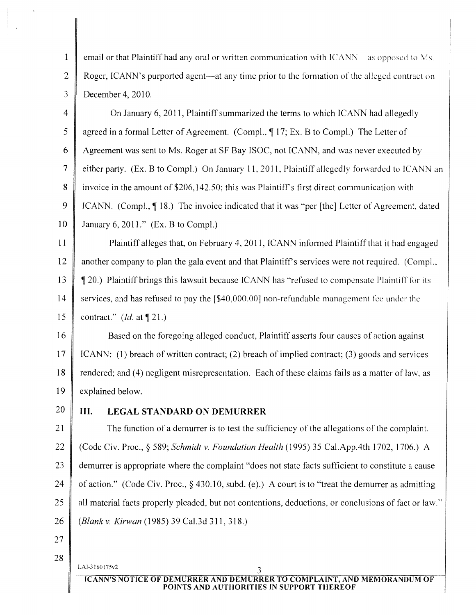1 email or that Plaintiff had any oral or written communication with ICANN—as opposed to Ms. 2 Roger, ICANN's purported agent—at any time prior to the formation of the alleged contract on 3 December 4, 2010.

4 On January 6, 2011, Plaintiffsummarized the terms to which ICANN had allegedly 5 agreed in a formal Letter of Agreement. (Compl., 17; Ex. B to Compl.) The Letter of 6 Agreement was sent to Ms. Roger at SF Bay ISOC, not ICANN, and was never executed by 7 either party. (Ex. B to Compl.) On January 11, 2011, Plaintiff allegedly forwarded to ICANN an 8 invoice in the amount of \$206,142.50; this was Plaintiff's first direct communication with 9 | ICANN. (Compl.,  $\P$  18.) The invoice indicated that it was "per [the] Letter of Agreement, dated 10 January 6, 2011." (Ex. B to CompI.)

11 Plaintiff alleges that, on February 4, 2011, ICANN informed Plaintiff that it had engaged 12 another company to plan the gala event and that Plaintiff's services were not required. (Compl., 13 | 120.) Plaintiff brings this lawsuit because ICANN has "refused to compensate Plaintiff for its 14 services, and has refused to pay the [\$40,000.00] non-refundable management fee under the 15 contract." *(Id.* at  $\P$  21.)

16 Based on the foregoing alleged conduct, Plaintiff asserts four causes of action against 17 ICANN: (1) breach of written contract; (2) breach of implied contract; (3) goods and services 18 rendered; and (4) negligent misrepresentation. Each of these claims fails as a matter of law, as 19 explained below.

# 20 **III.** LEGAL STANDARD ON DEMURRER

21 The function of a demurrer is to test the sufficiency of the allegations of the complaint. 22 (Code Civ. Proc., § 589; *Schmidt* v. *Foundation Health* (1995) 35 CaI.AppAth 1702, 1706.) A 23 demurrer is appropriate where the complaint "does not state facts sufficient to constitute a cause 24 of action." (Code Civ. Proc.,  $\S$  430.10, subd. (e).) A court is to "treat the demurrer as admitting 25 all material facts properly pleaded, but not contentions, deductions, or conclusions of fact or law." *26 (Blank* v. *Kirwan* (1985) 39 Ca1.3d 311, 318.)

- 27
- 28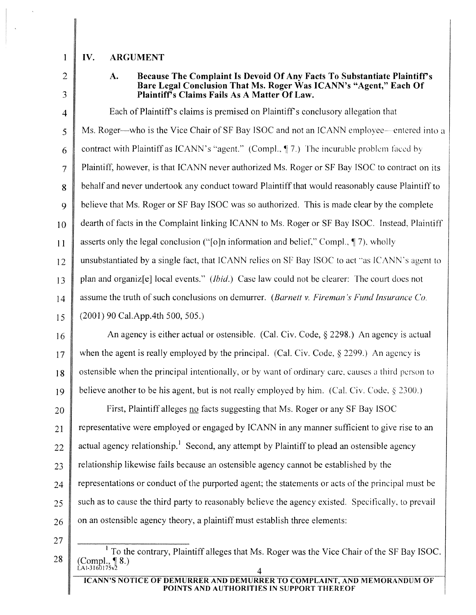### 1 IV. ARGUMENT IV.

2 3

# A. Because The Complaint Is Devoid Of Any Facts To Substantiate Plaintiff's Bare Legal Conclusion That Ms. Roger Was ICANN's "Agent," Each Of Plaintiff's Claims Fails As A Matter Of Law.

 $4 \parallel$  Each of Plaintiff's claims is premised on Plaintiff's conclusory allegation that 5 Ms. Roger—who is the Vice Chair of SF Bay ISOC and not an ICANN employee—entered into a 6 contract with Plaintiff as ICANN's "agent." (Compl.,  $\parallel$  7.) The incurable problem faced by 7 Plaintiff, however, is that ICANN never authorized Ms. Roger or SF Bay ISOC to contract on its 8 behalf and never undertook any conduct toward Plaintiff that would reasonably cause Plaintiff to 9 believe that Ms. Roger or SF Bay ISOC was so authorized. This is made clear by the complete 10 dearth of facts in the Complaint linking ICANN to Ms. Roger or SF Bay ISOC. Instead, Plaintiff 11 asserts only the legal conclusion ("[o]n information and belief," Compl., \| 7), wholly 12 unsubstantiated by a single fact, that ICANN relies on SF Bay ISOC to act "as ICANN's agent to 13 plan and organiz[e] local events." *(Ibid.)* Case law could not be clearer: The court does not 14 assume the truth of such conclusions on demurrer. *(Barnett v. Fireman's Fund Insurance Co.*) 15 (2001) 90 Cal.App.4th 500, 505.)

16 An agency is either actual or ostensible. (Cal. Civ. Code,  $\S$  2298.) An agency is actual 17 when the agent is really employed by the principal. (Cal. Civ. Code,  $\S$  2299.) An agency is 18 ostensible when the principal intentionally, or by want of ordinary care, causes a third person to 19 believe another to be his agent, but is not really employed by him. (Cal. Civ. Code, § 2300.)

**First, Plaintiff alleges no facts suggesting that Ms. Roger or any SF Bay ISOC**  representative were employed or engaged by ICANN in any manner sufficient to give rise to an 22 actual agency relationship.<sup>1</sup> Second, any attempt by Plaintiff to plead an ostensible agency relationship likewise fails because an ostensible agency cannot be established by the representations or conduct of the purported agent; the statements or acts of the principal must be such as to cause the third party to reasonably believe the agency existed. Specifically, to prevail on an ostensible agency theory, a plaintiff must establish three elements:

27

<sup>28</sup>  $<sup>1</sup>$  To the contrary, Plaintiff alleges that Ms. Roger was the Vice Chair of the SF Bay ISOC.</sup>  $(Compl., \P 8.)$  $\hat{L}$ 41-3160175v $^{\circ}$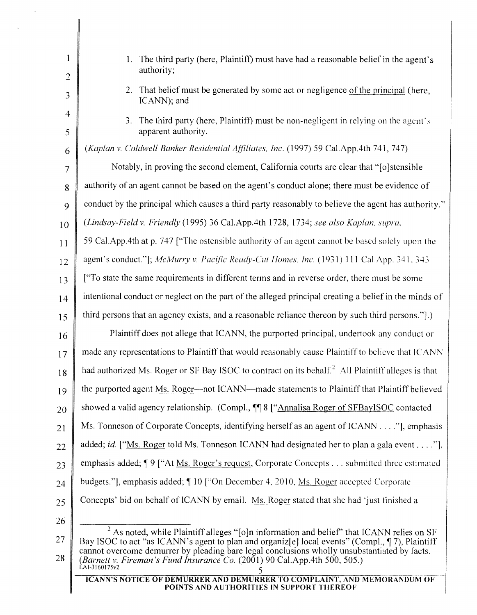| $\mathbf{1}$        | 1. The third party (here, Plaintiff) must have had a reasonable belief in the agent's                                                                                                                                                                                                         |  |  |
|---------------------|-----------------------------------------------------------------------------------------------------------------------------------------------------------------------------------------------------------------------------------------------------------------------------------------------|--|--|
| $\overline{2}$      | authority;                                                                                                                                                                                                                                                                                    |  |  |
| 3                   | That belief must be generated by some act or negligence of the principal (here,<br>2.<br>ICANN); and                                                                                                                                                                                          |  |  |
| $\overline{4}$<br>5 | The third party (here, Plaintiff) must be non-negligent in relying on the agent's<br>3.<br>apparent authority.                                                                                                                                                                                |  |  |
| 6                   | (Kaplan v. Coldwell Banker Residential Affiliates, Inc. (1997) 59 Cal.App.4th 741, 747)                                                                                                                                                                                                       |  |  |
| $\tau$              | Notably, in proving the second element, California courts are clear that "[o] stensible                                                                                                                                                                                                       |  |  |
| 8                   | authority of an agent cannot be based on the agent's conduct alone; there must be evidence of                                                                                                                                                                                                 |  |  |
| 9                   | conduct by the principal which causes a third party reasonably to believe the agent has authority."                                                                                                                                                                                           |  |  |
| 10                  | (Lindsay-Field v. Friendly (1995) 36 Cal.App.4th 1728, 1734; see also Kaplan, supra,                                                                                                                                                                                                          |  |  |
| 11                  | 59 Cal.App.4th at p. 747 ["The ostensible authority of an agent cannot be based solely upon the                                                                                                                                                                                               |  |  |
| 12                  | agent's conduct."]; McMurry v. Pacific Ready-Cut Homes, Inc. (1931) 111 Cal.App. 341, 343                                                                                                                                                                                                     |  |  |
| 13                  | ["To state the same requirements in different terms and in reverse order, there must be some                                                                                                                                                                                                  |  |  |
| 14                  | intentional conduct or neglect on the part of the alleged principal creating a belief in the minds of                                                                                                                                                                                         |  |  |
| 15                  | third persons that an agency exists, and a reasonable reliance thereon by such third persons.".)                                                                                                                                                                                              |  |  |
| 16                  | Plaintiff does not allege that ICANN, the purported principal, undertook any conduct or                                                                                                                                                                                                       |  |  |
| 17                  | made any representations to Plaintiff that would reasonably cause Plaintiff to believe that ICANN                                                                                                                                                                                             |  |  |
| 18                  | had authorized Ms. Roger or SF Bay ISOC to contract on its behalf. <sup>2</sup> All Plaintiff alleges is that                                                                                                                                                                                 |  |  |
| 19                  | the purported agent Ms. Roger—not ICANN—made statements to Plaintiff that Plaintiff believed                                                                                                                                                                                                  |  |  |
| 20                  | showed a valid agency relationship. (Compl., ¶ 8 ["Annalisa Roger of SFBayISOC contacted                                                                                                                                                                                                      |  |  |
| 21                  | Ms. Tonneson of Corporate Concepts, identifying herself as an agent of ICANN "], emphasis                                                                                                                                                                                                     |  |  |
| 22                  | added; <i>id.</i> ["Ms. Roger told Ms. Tonneson ICANN had designated her to plan a gala event"],                                                                                                                                                                                              |  |  |
| 23                  | emphasis added; 19 ["At Ms. Roger's request, Corporate Concepts submitted three estimated                                                                                                                                                                                                     |  |  |
| 24                  | budgets."], emphasis added; [10] ["On December 4, 2010, Ms. Roger accepted Corporate                                                                                                                                                                                                          |  |  |
| 25                  | Concepts' bid on behalf of ICANN by email. Ms. Roger stated that she had 'just finished a                                                                                                                                                                                                     |  |  |
| 26                  |                                                                                                                                                                                                                                                                                               |  |  |
| 27                  | $2$ As noted, while Plaintiff alleges "[o]n information and belief" that ICANN relies on SF<br>Bay ISOC to act "as ICANN's agent to plan and organiz[e] local events" (Compl., 17), Plaintiff<br>cannot overcome demurrer by pleading bare legal conclusions wholly unsubstantiated by facts. |  |  |
| 28                  | (Barnett v. Fireman's Fund Insurance Co. (2001) 90 Cal. App. 4th 500, 505.)<br>LAI-3160175v2                                                                                                                                                                                                  |  |  |

 $\bar{\mathcal{A}}$ 

ICANN'S NOTICE OF DEMURRER AND DEMURRER TO COMPLAINT, AND MEMORANDUM OF POINTS AND AUTHORITIES IN SUPPORT THEREOF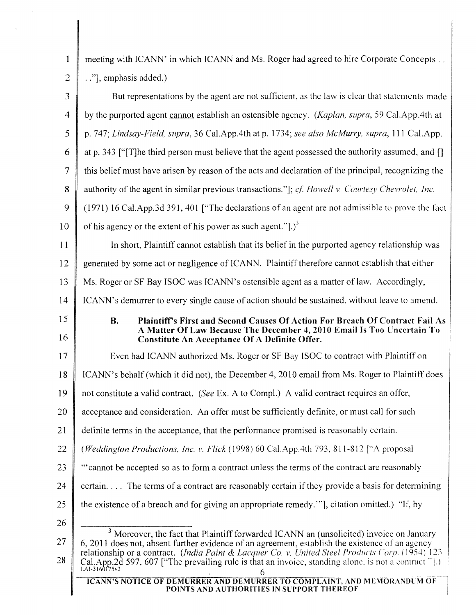| $\mathbf{1}$   | meeting with ICANN' in which ICANN and Ms. Roger had agreed to hire Corporate Concepts                                                                                                                                    |  |  |
|----------------|---------------------------------------------------------------------------------------------------------------------------------------------------------------------------------------------------------------------------|--|--|
| $\overline{2}$ | "], emphasis added.)                                                                                                                                                                                                      |  |  |
| 3              | But representations by the agent are not sufficient, as the law is clear that statements made                                                                                                                             |  |  |
| $\overline{4}$ | by the purported agent cannot establish an ostensible agency. (Kaplan, supra, 59 Cal.App.4th at                                                                                                                           |  |  |
| 5              | p. 747; Lindsay-Field, supra, 36 Cal.App.4th at p. 1734; see also McMurry, supra, 111 Cal.App.                                                                                                                            |  |  |
| 6              | at p. 343 ["T] he third person must believe that the agent possessed the authority assumed, and []                                                                                                                        |  |  |
| 7              | this belief must have arisen by reason of the acts and declaration of the principal, recognizing the                                                                                                                      |  |  |
| 8              | authority of the agent in similar previous transactions."]; cf. Howell v. Courtesy Chevrolet, Inc.                                                                                                                        |  |  |
| 9              | (1971) 16 Cal.App.3d 391, 401 ["The declarations of an agent are not admissible to prove the fact                                                                                                                         |  |  |
| 10             | of his agency or the extent of his power as such agent." $).$ <sup>3</sup>                                                                                                                                                |  |  |
| 11             | In short, Plaintiff cannot establish that its belief in the purported agency relationship was                                                                                                                             |  |  |
| 12             | generated by some act or negligence of ICANN. Plaintiff therefore cannot establish that either                                                                                                                            |  |  |
| 13             | Ms. Roger or SF Bay ISOC was ICANN's ostensible agent as a matter of law. Accordingly,                                                                                                                                    |  |  |
| 14             | ICANN's demurrer to every single cause of action should be sustained, without leave to amend.                                                                                                                             |  |  |
| 15<br>16       | <b>B.</b><br>Plaintiff's First and Second Causes Of Action For Breach Of Contract Fail As<br>A Matter Of Law Because The December 4, 2010 Email Is Too Uncertain To<br>Constitute An Acceptance Of A Definite Offer.      |  |  |
| 17             | Even had ICANN authorized Ms. Roger or SF Bay ISOC to contract with Plaintiff on                                                                                                                                          |  |  |
| 18             | ICANN's behalf (which it did not), the December 4, 2010 email from Ms. Roger to Plaintiff does                                                                                                                            |  |  |
| 19             | not constitute a valid contract. (See Ex. A to Compl.) A valid contract requires an offer,                                                                                                                                |  |  |
| 20             | acceptance and consideration. An offer must be sufficiently definite, or must call for such                                                                                                                               |  |  |
| 21             | definite terms in the acceptance, that the performance promised is reasonably certain.                                                                                                                                    |  |  |
| 22             | ( <i>Weddington Productions, Inc. v. Flick</i> (1998) 60 Cal.App.4th 793, 811-812 ["A proposal                                                                                                                            |  |  |
| 23             | "cannot be accepted so as to form a contract unless the terms of the contract are reasonably                                                                                                                              |  |  |
| 24             | certain. The terms of a contract are reasonably certain if they provide a basis for determining                                                                                                                           |  |  |
| 25             | the existence of a breach and for giving an appropriate remedy.", citation omitted.) "If, by                                                                                                                              |  |  |
| 26             |                                                                                                                                                                                                                           |  |  |
| 27             | <sup>3</sup> Moreover, the fact that Plaintiff forwarded ICANN an (unsolicited) invoice on January<br>6, 2011 does not, absent further evidence of an agreement, establish the existence of an agency                     |  |  |
| 28             | relationship or a contract. (India Paint & Lacquer Co. v. United Steel Products Corp. (1954) 123<br>Cal.App.2d 597, 607 ["The prevailing rule is that an invoice, standing alone, is not a contract."].)<br>LAI-3160175v2 |  |  |
|                | ICANN'S NOTICE OF DEMURRER AND DEMURRER TO COMPLAINT, AND MEMORANDUM OF<br>POINTS AND AUTHORITIES IN SUPPORT THEREOF                                                                                                      |  |  |

 $\sim$   $\epsilon$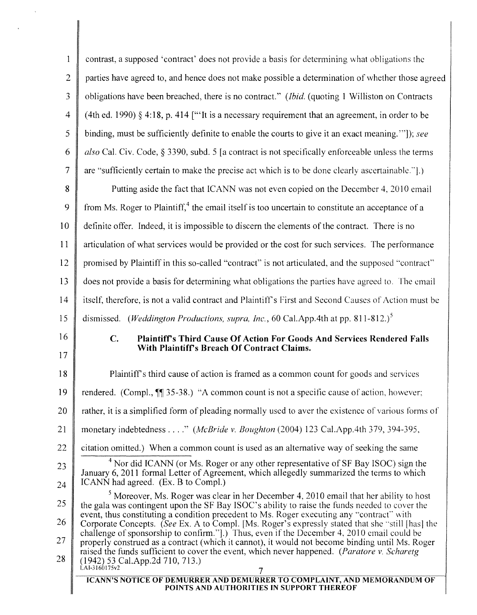| parties have agreed to, and hence does not make possible a determination of whether those agreed<br>obligations have been breached, there is no contract." <i>(Ibid. (quoting 1 Williston on Contracts</i> )<br>(4th ed. 1990) § 4:18, p. 414 ["'It is a necessary requirement that an agreement, in order to be<br>binding, must be sufficiently definite to enable the courts to give it an exact meaning.""]); see |
|-----------------------------------------------------------------------------------------------------------------------------------------------------------------------------------------------------------------------------------------------------------------------------------------------------------------------------------------------------------------------------------------------------------------------|
|                                                                                                                                                                                                                                                                                                                                                                                                                       |
|                                                                                                                                                                                                                                                                                                                                                                                                                       |
|                                                                                                                                                                                                                                                                                                                                                                                                                       |
|                                                                                                                                                                                                                                                                                                                                                                                                                       |
| also Cal. Civ. Code, § 3390, subd. 5 [a contract is not specifically enforceable unless the terms                                                                                                                                                                                                                                                                                                                     |
| are "sufficiently certain to make the precise act which is to be done clearly ascertainable.".)                                                                                                                                                                                                                                                                                                                       |
| Putting aside the fact that ICANN was not even copied on the December 4, 2010 email                                                                                                                                                                                                                                                                                                                                   |
| from Ms. Roger to Plaintiff, $4$ the email itself is too uncertain to constitute an acceptance of a                                                                                                                                                                                                                                                                                                                   |
| definite offer. Indeed, it is impossible to discern the elements of the contract. There is no                                                                                                                                                                                                                                                                                                                         |
| articulation of what services would be provided or the cost for such services. The performance                                                                                                                                                                                                                                                                                                                        |
| promised by Plaintiff in this so-called "contract" is not articulated, and the supposed "contract"                                                                                                                                                                                                                                                                                                                    |
| does not provide a basis for determining what obligations the parties have agreed to. The email                                                                                                                                                                                                                                                                                                                       |
| itself, therefore, is not a valid contract and Plaintiff's First and Second Causes of Action must be                                                                                                                                                                                                                                                                                                                  |
|                                                                                                                                                                                                                                                                                                                                                                                                                       |
| Plaintiff's Third Cause Of Action For Goods And Services Rendered Falls                                                                                                                                                                                                                                                                                                                                               |
|                                                                                                                                                                                                                                                                                                                                                                                                                       |
| Plaintiff's third cause of action is framed as a common count for goods and services                                                                                                                                                                                                                                                                                                                                  |
|                                                                                                                                                                                                                                                                                                                                                                                                                       |
| rendered. (Compl., $\P$ 35-38.) "A common count is not a specific cause of action, however;                                                                                                                                                                                                                                                                                                                           |
| rather, it is a simplified form of pleading normally used to aver the existence of various forms of                                                                                                                                                                                                                                                                                                                   |
| monetary indebtedness" (McBride v. Boughton (2004) 123 Cal.App.4th 379, 394-395,                                                                                                                                                                                                                                                                                                                                      |
| citation omitted.) When a common count is used as an alternative way of seeking the same                                                                                                                                                                                                                                                                                                                              |
| $4$ Nor did ICANN (or Ms. Roger or any other representative of SF Bay ISOC) sign the<br>January 6, 2011 formal Letter of Agreement, which allegedly summarized the terms to which                                                                                                                                                                                                                                     |
|                                                                                                                                                                                                                                                                                                                                                                                                                       |
| $5$ Moreover, Ms. Roger was clear in her December 4, 2010 email that her ability to host<br>the gala was contingent upon the SF Bay ISOC's ability to raise the funds needed to cover the                                                                                                                                                                                                                             |
| event, thus constituting a condition precedent to Ms. Roger executing any "contract" with<br>Corporate Concepts. (See Ex. A to Compl. [Ms. Roger's expressly stated that she "still [has] the                                                                                                                                                                                                                         |
| challenge of sponsorship to confirm."].) Thus, even if the December 4, 2010 email could be<br>properly construed as a contract (which it cannot), it would not become binding until Ms. Roger                                                                                                                                                                                                                         |
| raised the funds sufficient to cover the event, which never happened. (Paratore v. Scharetg                                                                                                                                                                                                                                                                                                                           |
|                                                                                                                                                                                                                                                                                                                                                                                                                       |

 $\bar{u}$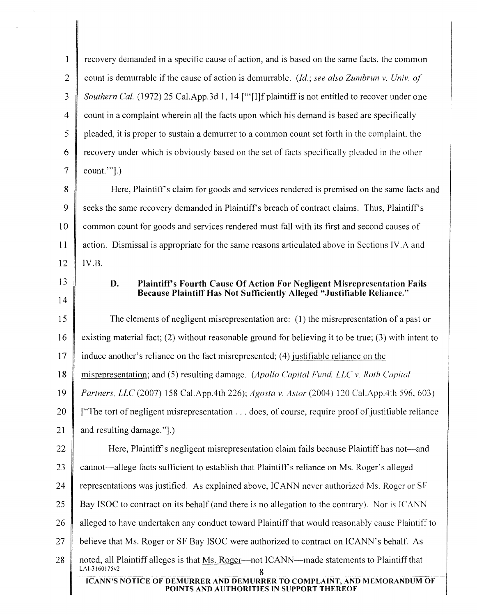| 1              | recovery demanded in a specific cause of action, and is based on the same facts, the common                          |  |  |
|----------------|----------------------------------------------------------------------------------------------------------------------|--|--|
| $\overline{2}$ | count is demurrable if the cause of action is demurrable. (Id.; see also Zumbrun v. Univ. of                         |  |  |
| 3              | Southern Cal. (1972) 25 Cal.App.3d 1, 14 ["[I]f plaintiff is not entitled to recover under one                       |  |  |
| $\overline{4}$ | count in a complaint wherein all the facts upon which his demand is based are specifically                           |  |  |
| 5              | pleaded, it is proper to sustain a demurrer to a common count set forth in the complaint, the                        |  |  |
| 6              | recovery under which is obviously based on the set of facts specifically pleaded in the other                        |  |  |
| 7              | $count."$ ].)                                                                                                        |  |  |
| 8              | Here, Plaintiff's claim for goods and services rendered is premised on the same facts and                            |  |  |
| 9              | seeks the same recovery demanded in Plaintiff's breach of contract claims. Thus, Plaintiff's                         |  |  |
| 10             | common count for goods and services rendered must fall with its first and second causes of                           |  |  |
| 11             | action. Dismissal is appropriate for the same reasons articulated above in Sections IV.A and                         |  |  |
| 12             | IV.B.                                                                                                                |  |  |
| 13             | Plaintiff's Fourth Cause Of Action For Negligent Misrepresentation Fails<br>D.                                       |  |  |
| 14             | Because Plaintiff Has Not Sufficiently Alleged "Justifiable Reliance."                                               |  |  |
| 15             | The elements of negligent misrepresentation are: (1) the misrepresentation of a past or                              |  |  |
| 16             | existing material fact; (2) without reasonable ground for believing it to be true; (3) with intent to                |  |  |
| 17             | induce another's reliance on the fact misrepresented; (4) justifiable reliance on the                                |  |  |
| 18             | misrepresentation; and (5) resulting damage. (Apollo Capital Fund, LLC v. Roth Capital                               |  |  |
| 19             | Partners, LLC (2007) 158 Cal.App.4th 226); Agosta v. Astor (2004) 120 Cal.App.4th 596, 603)                          |  |  |
| 20             | ["The tort of negligent misrepresentation does, of course, require proof of justifiable reliance                     |  |  |
| 21             | and resulting damage.".)                                                                                             |  |  |
| 22             | Here, Plaintiff's negligent misrepresentation claim fails because Plaintiff has not—and                              |  |  |
| 23             | cannot—allege facts sufficient to establish that Plaintiff's reliance on Ms. Roger's alleged                         |  |  |
| 24             | representations was justified. As explained above, ICANN never authorized Ms. Roger or SF                            |  |  |
| 25             | Bay ISOC to contract on its behalf (and there is no allegation to the contrary). Nor is ICANN                        |  |  |
| 26             | alleged to have undertaken any conduct toward Plaintiff that would reasonably cause Plaintiff to                     |  |  |
| 27             | believe that Ms. Roger or SF Bay ISOC were authorized to contract on ICANN's behalf. As                              |  |  |
| 28             | noted, all Plaintiff alleges is that Ms. Roger—not ICANN—made statements to Plaintiff that<br>LAI-3160175v2<br>8     |  |  |
|                | ICANN'S NOTICE OF DEMURRER AND DEMURRER TO COMPLAINT, AND MEMORANDUM OF<br>POINTS AND AUTHORITIES IN SUPPORT THEREOF |  |  |

 $\lambda$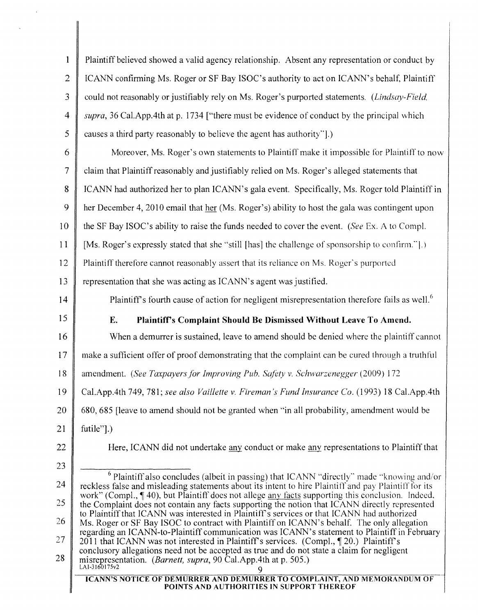1 Plaintiff believed showed a valid agency relationship. Absent any representation or conduct by 2 | ICANN confirming Ms. Roger or SF Bay ISOC's authority to act on ICANN's behalf, Plaintiff 3 could not reasonably or justifiably rely on Ms. Roger's purported statements. *(Lindsay-Field.*) *4 supra,* 36 Cal.App.4th at p. 1734 ["there must be evidence of conduct by the principal which  $5 \parallel$  causes a third party reasonably to believe the agent has authority". 6 Moreover, Ms. Roger's own statements to Plaintiff make it impossible for Plaintiff to now 7 claim that Plaintiffreasonably and justifiably relied on Ms. Roger's alleged statements that 8 ICANN had authorized her to plan ICANN's gala event. Specifically, Ms. Roger told Plaintiff in 9 her December 4, 2010 email that her (Ms. Roger's) ability to host the gala was contingent upon 10 the SF Bay ISOC's ability to raise the funds needed to cover the event. *(See* Ex. A to Compl. 11 [Ms. Roger's expressly stated that she "still [has] the challenge of sponsorship to confirm."'.) 12 Plaintiff therefore cannot reasonably assert that its reliance on Ms. Roger's purported 13 Fept essentation that she was acting as ICANN's agent was justified. 14 || Plaintiff's fourth cause of action for negligent misrepresentation therefore fails as well.<sup>6</sup> 15 E. Plaintiff's Complaint Should Be Dismissed Without Leave To Amend. 16 When a demurrer is sustained, leave to amend should be denied where the plaintiff cannot 17 make a sufficient offer of proof demonstrating that the complaint can be cured through a truthful 18 amendment. *(See Taxpayers(or Improving Pub. Safety v. Schwarzenegger* (2009) 172 19 Cal.AppAth 749, 781; *see also Vaillette v. Fireman's Fund Insurance Co.* (1993) 18 Cal.App.4th 20 680, 685 [leave to amend should not be granted when "in all probability, amendment would be 21 futile"].) 22 **Here, ICANN** did not undertake any conduct or make any representations to Plaintiff that 23 24 25 26 27 28  $6$  Plaintiff also concludes (albeit in passing) that ICANN "directly" made "knowing and/or reckless false and misleading statements about its intent to hire Plaintiff and pay Plaintiff for its work" (Compl., 40), but Plaintiff does not allege any facts supporting this conclusion. Indeed, the Complaint does not contain any facts supporting the notion that ICANN directly represented to Plaintiff that ICANN was interested in Plaintiff's services or that ICANN had authorized Ms. Roger or SF Bay ISOC to contract with Plaintiff on ICANN's behalf. The only allegation regarding an ICANN-to-Plaintiff communication was ICANN's statement to Plaintiff in February 2011 that ICANN was not interested in Plaintiff's services. (Compl., 1, 20.) Plaintiff's conclusory allegations need not be accepted as true and do not state a claim for negligent misrepresentation. *(Barnett, supra, 90 Cal.App.4th at p. 505.)* LAI-3160175v2 ICANN'S NOTICE OF DEMURRER AND DEMURRER TO COMPLAINT, AND MEMORANDUM OF POINTS AND AUTHORITIES IN SUPPORT THEREOF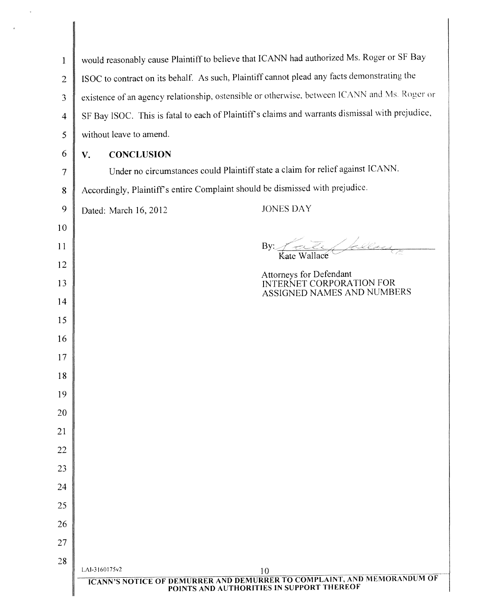| $\mathbf{1}$   | would reasonably cause Plaintiff to believe that ICANN had authorized Ms. Roger or SF Bay                                |                                                                                   |  |  |
|----------------|--------------------------------------------------------------------------------------------------------------------------|-----------------------------------------------------------------------------------|--|--|
| $\overline{2}$ | ISOC to contract on its behalf. As such, Plaintiff cannot plead any facts demonstrating the                              |                                                                                   |  |  |
| 3              | existence of an agency relationship, ostensible or otherwise, between ICANN and Ms. Roger or                             |                                                                                   |  |  |
| $\overline{4}$ | SF Bay ISOC. This is fatal to each of Plaintiff's claims and warrants dismissal with prejudice,                          |                                                                                   |  |  |
| 5              | without leave to amend.                                                                                                  |                                                                                   |  |  |
| 6              | <b>CONCLUSION</b><br>V.                                                                                                  |                                                                                   |  |  |
| $\overline{7}$ | Under no circumstances could Plaintiff state a claim for relief against ICANN.                                           |                                                                                   |  |  |
| 8              | Accordingly, Plaintiff's entire Complaint should be dismissed with prejudice.                                            |                                                                                   |  |  |
| 9              | Dated: March 16, 2012                                                                                                    | <b>JONES DAY</b>                                                                  |  |  |
| 10             |                                                                                                                          |                                                                                   |  |  |
| 11             |                                                                                                                          | Fate following<br>By:                                                             |  |  |
| 12             |                                                                                                                          |                                                                                   |  |  |
| 13             |                                                                                                                          | Attorneys for Defendant<br>INTERNET CORPORATION FOR<br>ASSIGNED NAMES AND NUMBERS |  |  |
| 14             |                                                                                                                          |                                                                                   |  |  |
| 15             |                                                                                                                          |                                                                                   |  |  |
| 16             |                                                                                                                          |                                                                                   |  |  |
| 17             |                                                                                                                          |                                                                                   |  |  |
| 18             |                                                                                                                          |                                                                                   |  |  |
| 19             |                                                                                                                          |                                                                                   |  |  |
| 20             |                                                                                                                          |                                                                                   |  |  |
| 21             |                                                                                                                          |                                                                                   |  |  |
| 22             |                                                                                                                          |                                                                                   |  |  |
| 23             |                                                                                                                          |                                                                                   |  |  |
| 24             |                                                                                                                          |                                                                                   |  |  |
| 25             |                                                                                                                          |                                                                                   |  |  |
| 26             |                                                                                                                          |                                                                                   |  |  |
| 27             |                                                                                                                          |                                                                                   |  |  |
| 28             | LAI-3160175v2                                                                                                            |                                                                                   |  |  |
|                |                                                                                                                          | 10                                                                                |  |  |
|                | <b>ICANN'S NOTICE OF DEMURRER AND DEMURRER TO COMPLAINT, AND MEMORANDUM OF POINTS AND AUTHORITIES IN SUPPORT THEREOF</b> |                                                                                   |  |  |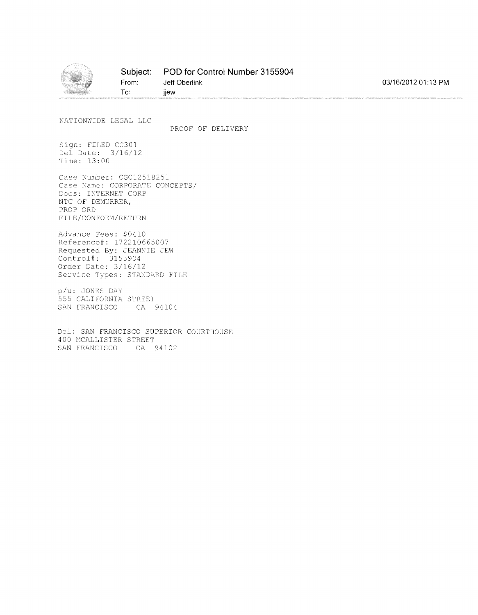

NATIONWIDE LEGAL LLC

PROOF OF DELIVERY

Sign: FILED CC301 Del Date: 3/16/12 Time: 13:00

Case Number: CGC12518251 Case Name: CORPORATE CONCEPTS/ Docs: INTERNET CORP NTC OF DEMURRER, PROP ORO FILE/CONFORM/RETURN

**To:**

Advance Fees: \$0410 Reference#: 172210665007 Requested By: JEANNIE JEW Control#: 3155904 Order Date: 3/16/12 Service Types: STANDARD FILE

p/u: JONES DAY 55 CALIFORNIA STREET SAN FRANCISCO CA 94104

Del: SAN FRANCISCO SUPERIOR COURTHOUSE 400 MCALLISTER STREET SAN FRANCISCO CA 94102